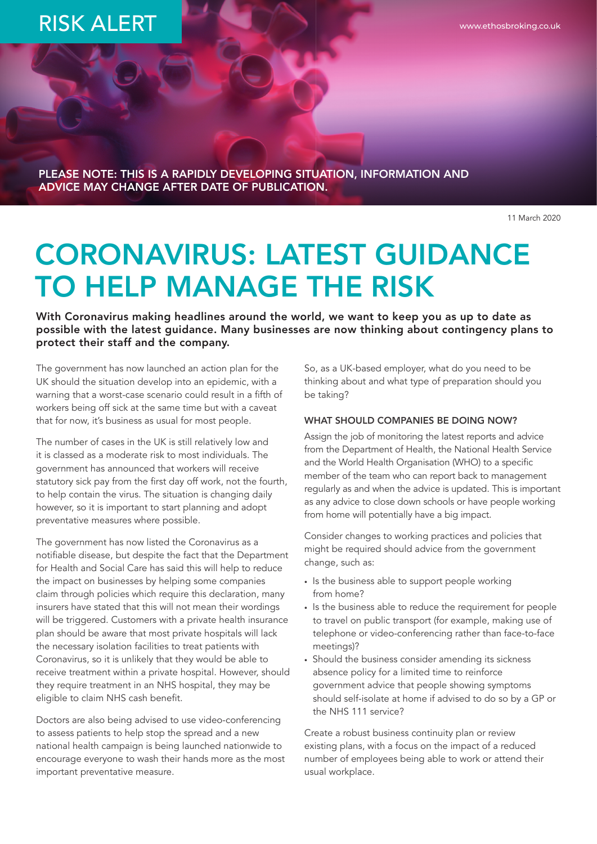## RISK ALERT

www.ethosbroking.co.uk

PLEASE NOTE: THIS IS A RAPIDLY DEVELOPING SITUATION, INFORMATION AND ADVICE MAY CHANGE AFTER DATE OF PUBLICATION.

11 March 2020

# CORONAVIRUS: LATEST GUIDANCE TO HELP MANAGE THE RISK

With Coronavirus making headlines around the world, we want to keep you as up to date as possible with the latest guidance. Many businesses are now thinking about contingency plans to protect their staff and the company.

The government has now launched an action plan for the UK should the situation develop into an epidemic, with a warning that a worst-case scenario could result in a fifth of workers being off sick at the same time but with a caveat that for now, it's business as usual for most people.

The number of cases in the UK is still relatively low and it is classed as a moderate risk to most individuals. The government has announced that workers will receive statutory sick pay from the first day off work, not the fourth, to help contain the virus. The situation is changing daily however, so it is important to start planning and adopt preventative measures where possible.

The government has now listed the Coronavirus as a notifiable disease, but despite the fact that the Department for Health and Social Care has said this will help to reduce the impact on businesses by helping some companies claim through policies which require this declaration, many insurers have stated that this will not mean their wordings will be triggered. Customers with a private health insurance plan should be aware that most private hospitals will lack the necessary isolation facilities to treat patients with Coronavirus, so it is unlikely that they would be able to receive treatment within a private hospital. However, should they require treatment in an NHS hospital, they may be eligible to claim NHS cash benefit.

Doctors are also being advised to use video-conferencing to assess patients to help stop the spread and a new national health campaign is being launched nationwide to encourage everyone to wash their hands more as the most important preventative measure.

So, as a UK-based employer, what do you need to be thinking about and what type of preparation should you be taking?

#### WHAT SHOULD COMPANIES BE DOING NOW?

Assign the job of monitoring the latest reports and advice from the Department of Health, the National Health Service and the World Health Organisation (WHO) to a specific member of the team who can report back to management regularly as and when the advice is updated. This is important as any advice to close down schools or have people working from home will potentially have a big impact.

Consider changes to working practices and policies that might be required should advice from the government change, such as:

- Is the business able to support people working from home?
- Is the business able to reduce the requirement for people to travel on public transport (for example, making use of telephone or video-conferencing rather than face-to-face meetings)?
- Should the business consider amending its sickness absence policy for a limited time to reinforce government advice that people showing symptoms should self-isolate at home if advised to do so by a GP or the NHS 111 service?

Create a robust business continuity plan or review existing plans, with a focus on the impact of a reduced number of employees being able to work or attend their usual workplace.